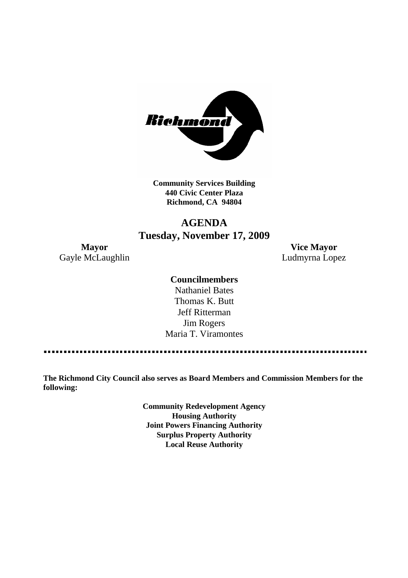

**Community Services Building 440 Civic Center Plaza Richmond, CA 94804**

# **AGENDA Tuesday, November 17, 2009**

Gayle McLaughlin **Ludmyrna Lopez** 

**Mayor Vice Mayor**

# **Councilmembers**

Nathaniel Bates Thomas K. Butt Jeff Ritterman Jim Rogers Maria T. Viramontes

**The Richmond City Council also serves as Board Members and Commission Members for the following:**

> **Community Redevelopment Agency Housing Authority Joint Powers Financing Authority Surplus Property Authority Local Reuse Authority**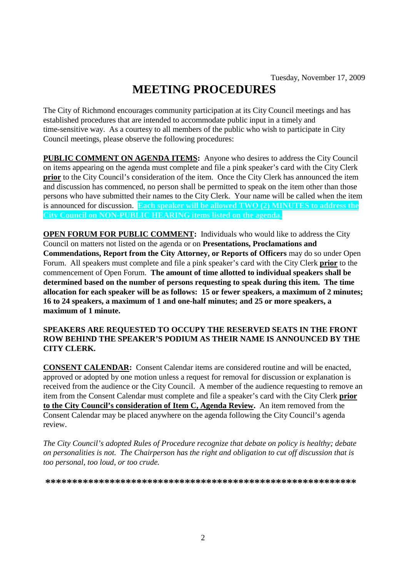# **MEETING PROCEDURES**

The City of Richmond encourages community participation at its City Council meetings and has established procedures that are intended to accommodate public input in a timely and time-sensitive way. As a courtesy to all members of the public who wish to participate in City Council meetings, please observe the following procedures:

**PUBLIC COMMENT ON AGENDA ITEMS:** Anyone who desires to address the City Council on items appearing on the agenda must complete and file a pink speaker's card with the City Clerk **prior** to the City Council's consideration of the item. Once the City Clerk has announced the item and discussion has commenced, no person shall be permitted to speak on the item other than those persons who have submitted their names to the City Clerk. Your name will be called when the item is announced for discussion. **Each speaker will be allowed TWO (2) MINUTES to address the City Council on NON-PUBLIC HEARING items listed on the agenda.**

**OPEN FORUM FOR PUBLIC COMMENT:** Individuals who would like to address the City Council on matters not listed on the agenda or on **Presentations, Proclamations and Commendations, Report from the City Attorney, or Reports of Officers** may do so under Open Forum. All speakers must complete and file a pink speaker's card with the City Clerk **prior** to the commencement of Open Forum. **The amount of time allotted to individual speakers shall be determined based on the number of persons requesting to speak during this item. The time allocation for each speaker will be as follows: 15 or fewer speakers, a maximum of 2 minutes; 16 to 24 speakers, a maximum of 1 and one-half minutes; and 25 or more speakers, a maximum of 1 minute.**

### **SPEAKERS ARE REQUESTED TO OCCUPY THE RESERVED SEATS IN THE FRONT ROW BEHIND THE SPEAKER'S PODIUM AS THEIR NAME IS ANNOUNCED BY THE CITY CLERK.**

**CONSENT CALENDAR:** Consent Calendar items are considered routine and will be enacted, approved or adopted by one motion unless a request for removal for discussion or explanation is received from the audience or the City Council. A member of the audience requesting to remove an item from the Consent Calendar must complete and file a speaker's card with the City Clerk **prior to the City Council's consideration of Item C, Agenda Review.** An item removed from the Consent Calendar may be placed anywhere on the agenda following the City Council's agenda review.

*The City Council's adopted Rules of Procedure recognize that debate on policy is healthy; debate on personalities is not. The Chairperson has the right and obligation to cut off discussion that is too personal, too loud, or too crude.*

**\*\*\*\*\*\*\*\*\*\*\*\*\*\*\*\*\*\*\*\*\*\*\*\*\*\*\*\*\*\*\*\*\*\*\*\*\*\*\*\*\*\*\*\*\*\*\*\*\*\*\*\*\*\*\*\*\*\***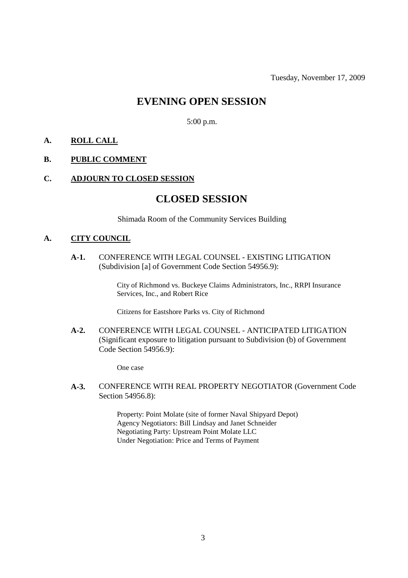Tuesday, November 17, 2009

# **EVENING OPEN SESSION**

5:00 p.m.

# **A. ROLL CALL**

## **B. PUBLIC COMMENT**

#### **C. ADJOURN TO CLOSED SESSION**

# **CLOSED SESSION**

Shimada Room of the Community Services Building

#### **A. CITY COUNCIL**

**A-1.** CONFERENCE WITH LEGAL COUNSEL - EXISTING LITIGATION (Subdivision [a] of Government Code Section 54956.9):

> City of Richmond vs. Buckeye Claims Administrators, Inc., RRPI Insurance Services, Inc., and Robert Rice

Citizens for Eastshore Parks vs. City of Richmond

**A-2.** CONFERENCE WITH LEGAL COUNSEL - ANTICIPATED LITIGATION (Significant exposure to litigation pursuant to Subdivision (b) of Government Code Section 54956.9):

One case

**A-3.** CONFERENCE WITH REAL PROPERTY NEGOTIATOR (Government Code Section 54956.8):

> Property: Point Molate (site of former Naval Shipyard Depot) Agency Negotiators: Bill Lindsay and Janet Schneider Negotiating Party: Upstream Point Molate LLC Under Negotiation: Price and Terms of Payment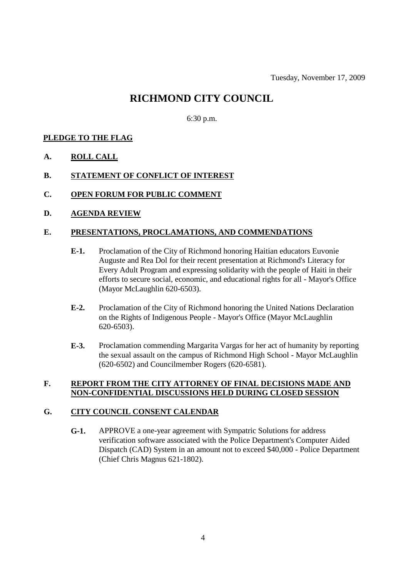Tuesday, November 17, 2009

# **RICHMOND CITY COUNCIL**

6:30 p.m.

# **PLEDGE TO THE FLAG**

- **A. ROLL CALL**
- **B. STATEMENT OF CONFLICT OF INTEREST**
- **C. OPEN FORUM FOR PUBLIC COMMENT**
- **D. AGENDA REVIEW**

## **E. PRESENTATIONS, PROCLAMATIONS, AND COMMENDATIONS**

- **E-1.** Proclamation of the City of Richmond honoring Haitian educators Euvonie Auguste and Rea Dol for their recent presentation at Richmond's Literacy for Every Adult Program and expressing solidarity with the people of Haiti in their efforts to secure social, economic, and educational rights for all - Mayor's Office (Mayor McLaughlin 620-6503).
- **E-2.** Proclamation of the City of Richmond honoring the United Nations Declaration on the Rights of Indigenous People - Mayor's Office (Mayor McLaughlin 620-6503).
- **E-3.** Proclamation commending Margarita Vargas for her act of humanity by reporting the sexual assault on the campus of Richmond High School - Mayor McLaughlin (620-6502) and Councilmember Rogers (620-6581).

# **F. REPORT FROM THE CITY ATTORNEY OF FINAL DECISIONS MADE AND NON-CONFIDENTIAL DISCUSSIONS HELD DURING CLOSED SESSION**

#### **G. CITY COUNCIL CONSENT CALENDAR**

**G-1.** APPROVE a one-year agreement with Sympatric Solutions for address verification software associated with the Police Department's Computer Aided Dispatch (CAD) System in an amount not to exceed \$40,000 - Police Department (Chief Chris Magnus 621-1802).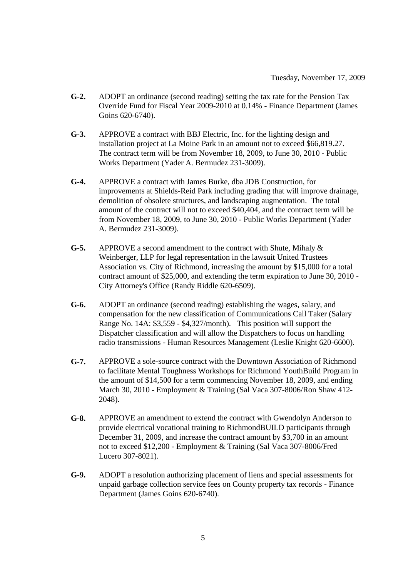- **G-2.** ADOPT an ordinance (second reading) setting the tax rate for the Pension Tax Override Fund for Fiscal Year 2009-2010 at 0.14% - Finance Department (James Goins 620-6740).
- **G-3.** APPROVE a contract with BBJ Electric, Inc. for the lighting design and installation project at La Moine Park in an amount not to exceed \$66,819.27. The contract term will be from November 18, 2009, to June 30, 2010 - Public Works Department (Yader A. Bermudez 231-3009).
- **G-4.** APPROVE a contract with James Burke, dba JDB Construction, for improvements at Shields-Reid Park including grading that will improve drainage, demolition of obsolete structures, and landscaping augmentation. The total amount of the contract will not to exceed \$40,404, and the contract term will be from November 18, 2009, to June 30, 2010 - Public Works Department (Yader A. Bermudez 231-3009).
- **G-5.** APPROVE a second amendment to the contract with Shute, Mihaly & Weinberger, LLP for legal representation in the lawsuit United Trustees Association vs. City of Richmond, increasing the amount by \$15,000 for a total contract amount of \$25,000, and extending the term expiration to June 30, 2010 - City Attorney's Office (Randy Riddle 620-6509).
- **G-6.** ADOPT an ordinance (second reading) establishing the wages, salary, and compensation for the new classification of Communications Call Taker (Salary Range No. 14A: \$3,559 - \$4,327/month). This position will support the Dispatcher classification and will allow the Dispatchers to focus on handling radio transmissions - Human Resources Management (Leslie Knight 620-6600).
- **G-7.** APPROVE a sole-source contract with the Downtown Association of Richmond to facilitate Mental Toughness Workshops for Richmond YouthBuild Program in the amount of \$14,500 for a term commencing November 18, 2009, and ending March 30, 2010 - Employment & Training (Sal Vaca 307-8006/Ron Shaw 412- 2048).
- **G-8.** APPROVE an amendment to extend the contract with Gwendolyn Anderson to provide electrical vocational training to RichmondBUILD participants through December 31, 2009, and increase the contract amount by \$3,700 in an amount not to exceed \$12,200 - Employment & Training (Sal Vaca 307-8006/Fred Lucero 307-8021).
- **G-9.** ADOPT a resolution authorizing placement of liens and special assessments for unpaid garbage collection service fees on County property tax records - Finance Department (James Goins 620-6740).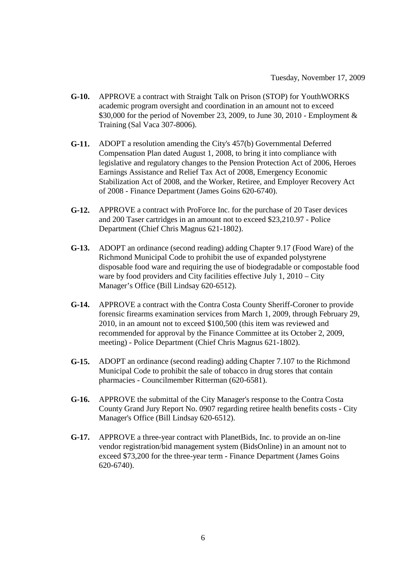- **G-10.** APPROVE a contract with Straight Talk on Prison (STOP) for YouthWORKS academic program oversight and coordination in an amount not to exceed \$30,000 for the period of November 23, 2009, to June 30, 2010 - Employment & Training (Sal Vaca 307-8006).
- **G-11.** ADOPT a resolution amending the City's 457(b) Governmental Deferred Compensation Plan dated August 1, 2008, to bring it into compliance with legislative and regulatory changes to the Pension Protection Act of 2006, Heroes Earnings Assistance and Relief Tax Act of 2008, Emergency Economic Stabilization Act of 2008, and the Worker, Retiree, and Employer Recovery Act of 2008 - Finance Department (James Goins 620-6740).
- **G-12.** APPROVE a contract with ProForce Inc. for the purchase of 20 Taser devices and 200 Taser cartridges in an amount not to exceed \$23,210.97 - Police Department (Chief Chris Magnus 621-1802).
- **G-13.** ADOPT an ordinance (second reading) adding Chapter 9.17 (Food Ware) of the Richmond Municipal Code to prohibit the use of expanded polystyrene disposable food ware and requiring the use of biodegradable or compostable food ware by food providers and City facilities effective July 1, 2010 – City Manager's Office (Bill Lindsay 620-6512).
- **G-14.** APPROVE a contract with the Contra Costa County Sheriff-Coroner to provide forensic firearms examination services from March 1, 2009, through February 29, 2010, in an amount not to exceed \$100,500 (this item was reviewed and recommended for approval by the Finance Committee at its October 2, 2009, meeting) - Police Department (Chief Chris Magnus 621-1802).
- **G-15.** ADOPT an ordinance (second reading) adding Chapter 7.107 to the Richmond Municipal Code to prohibit the sale of tobacco in drug stores that contain pharmacies - Councilmember Ritterman (620-6581).
- **G-16.** APPROVE the submittal of the City Manager's response to the Contra Costa County Grand Jury Report No. 0907 regarding retiree health benefits costs - City Manager's Office (Bill Lindsay 620-6512).
- **G-17.** APPROVE a three-year contract with PlanetBids, Inc. to provide an on-line vendor registration/bid management system (BidsOnline) in an amount not to exceed \$73,200 for the three-year term - Finance Department (James Goins 620-6740).